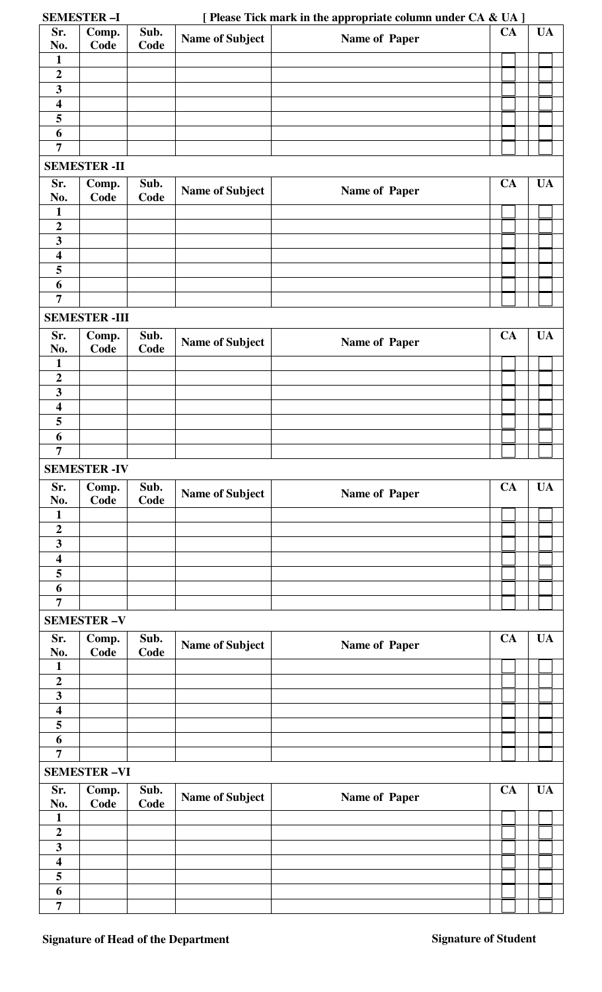| <b>SEMESTER-I</b>                                  |                    |              | [ Please Tick mark in the appropriate column under CA & UA ] |               |           |           |  |  |  |
|----------------------------------------------------|--------------------|--------------|--------------------------------------------------------------|---------------|-----------|-----------|--|--|--|
| Sr.<br>No.                                         | Comp.<br>Code      | Sub.<br>Code | <b>Name of Subject</b>                                       | Name of Paper | CA        | <b>UA</b> |  |  |  |
| $\mathbf{1}$<br>$\boldsymbol{2}$                   |                    |              |                                                              |               |           |           |  |  |  |
| $\overline{\mathbf{3}}$                            |                    |              |                                                              |               |           |           |  |  |  |
| $\overline{\mathbf{4}}$                            |                    |              |                                                              |               |           |           |  |  |  |
| 5                                                  |                    |              |                                                              |               |           |           |  |  |  |
| 6                                                  |                    |              |                                                              |               |           |           |  |  |  |
| $\overline{7}$                                     |                    |              |                                                              |               |           |           |  |  |  |
| <b>SEMESTER - II</b>                               |                    |              |                                                              |               |           |           |  |  |  |
| Sr.<br>No.                                         | Comp.<br>Code      | Sub.<br>Code | <b>Name of Subject</b>                                       | Name of Paper | <b>CA</b> | <b>UA</b> |  |  |  |
| $\mathbf{1}$                                       |                    |              |                                                              |               |           |           |  |  |  |
| $\overline{\mathbf{c}}$                            |                    |              |                                                              |               |           |           |  |  |  |
| $\overline{\mathbf{3}}$                            |                    |              |                                                              |               |           |           |  |  |  |
| $\overline{\mathbf{4}}$                            |                    |              |                                                              |               |           |           |  |  |  |
| 5                                                  |                    |              |                                                              |               |           |           |  |  |  |
| 6<br>$\overline{7}$                                |                    |              |                                                              |               |           |           |  |  |  |
|                                                    |                    |              |                                                              |               |           |           |  |  |  |
| <b>SEMESTER-III</b>                                |                    |              |                                                              |               |           |           |  |  |  |
| Sr.<br>No.                                         | Comp.<br>Code      | Sub.<br>Code | <b>Name of Subject</b>                                       | Name of Paper | <b>CA</b> | <b>UA</b> |  |  |  |
| $\mathbf{1}$                                       |                    |              |                                                              |               |           |           |  |  |  |
| $\boldsymbol{2}$<br>$\overline{\mathbf{3}}$        |                    |              |                                                              |               |           |           |  |  |  |
| $\overline{\mathbf{4}}$                            |                    |              |                                                              |               |           |           |  |  |  |
| 5                                                  |                    |              |                                                              |               |           |           |  |  |  |
| 6                                                  |                    |              |                                                              |               |           |           |  |  |  |
| $\overline{7}$                                     |                    |              |                                                              |               |           |           |  |  |  |
| <b>SEMESTER -IV</b>                                |                    |              |                                                              |               |           |           |  |  |  |
| Sr.                                                | Comp.              | Sub.         |                                                              |               | <b>CA</b> | <b>UA</b> |  |  |  |
| No.                                                | Code               | Code         | <b>Name of Subject</b>                                       | Name of Paper |           |           |  |  |  |
| $\mathbf{1}$                                       |                    |              |                                                              |               |           |           |  |  |  |
| $\overline{2}$                                     |                    |              |                                                              |               |           |           |  |  |  |
| $\overline{\mathbf{3}}$<br>$\overline{\mathbf{4}}$ |                    |              |                                                              |               |           |           |  |  |  |
| 5                                                  |                    |              |                                                              |               |           |           |  |  |  |
| 6                                                  |                    |              |                                                              |               |           |           |  |  |  |
| $\overline{7}$                                     |                    |              |                                                              |               |           |           |  |  |  |
| <b>SEMESTER-V</b>                                  |                    |              |                                                              |               |           |           |  |  |  |
| Sr.<br>No.                                         | Comp.<br>Code      | Sub.<br>Code | <b>Name of Subject</b>                                       | Name of Paper | <b>CA</b> | <b>UA</b> |  |  |  |
| $\mathbf{1}$                                       |                    |              |                                                              |               |           |           |  |  |  |
| $\boldsymbol{2}$                                   |                    |              |                                                              |               |           |           |  |  |  |
| $\overline{\mathbf{3}}$                            |                    |              |                                                              |               |           |           |  |  |  |
| $\overline{\mathbf{4}}$                            |                    |              |                                                              |               |           |           |  |  |  |
| $\overline{\mathbf{5}}$                            |                    |              |                                                              |               |           |           |  |  |  |
| $\overline{6}$<br>$\overline{7}$                   |                    |              |                                                              |               |           |           |  |  |  |
|                                                    | <b>SEMESTER-VI</b> |              |                                                              |               |           |           |  |  |  |
| Sr.                                                |                    | Sub.         |                                                              |               | <b>CA</b> | <b>UA</b> |  |  |  |
| No.                                                | Comp.<br>Code      | Code         | <b>Name of Subject</b>                                       | Name of Paper |           |           |  |  |  |
| $\mathbf{1}$                                       |                    |              |                                                              |               |           |           |  |  |  |
| $\boldsymbol{2}$                                   |                    |              |                                                              |               |           |           |  |  |  |
| $\mathbf{3}$<br>$\overline{\mathbf{4}}$            |                    |              |                                                              |               |           |           |  |  |  |
| 5                                                  |                    |              |                                                              |               |           |           |  |  |  |
| 6                                                  |                    |              |                                                              |               |           |           |  |  |  |
| 7                                                  |                    |              |                                                              |               |           |           |  |  |  |